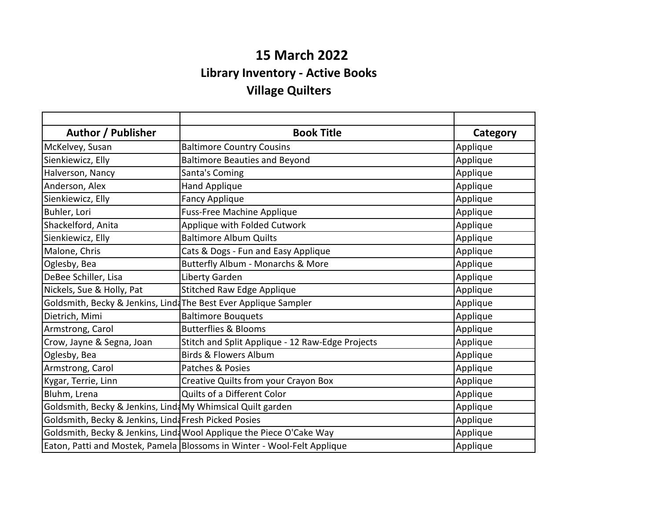## **15 March 2022 Library Inventory - Active Books Village Quilters**

| Author / Publisher                                         | <b>Book Title</b>                                                       | Category |
|------------------------------------------------------------|-------------------------------------------------------------------------|----------|
| McKelvey, Susan                                            | <b>Baltimore Country Cousins</b>                                        | Applique |
| Sienkiewicz, Elly                                          | <b>Baltimore Beauties and Beyond</b>                                    | Applique |
| Halverson, Nancy                                           | Santa's Coming                                                          | Applique |
| Anderson, Alex                                             | <b>Hand Applique</b>                                                    | Applique |
| Sienkiewicz, Elly                                          | <b>Fancy Applique</b>                                                   | Applique |
| Buhler, Lori                                               | <b>Fuss-Free Machine Applique</b>                                       | Applique |
| Shackelford, Anita                                         | Applique with Folded Cutwork                                            | Applique |
| Sienkiewicz, Elly                                          | <b>Baltimore Album Quilts</b>                                           | Applique |
| Malone, Chris                                              | Cats & Dogs - Fun and Easy Applique                                     | Applique |
| Oglesby, Bea                                               | Butterfly Album - Monarchs & More                                       | Applique |
| DeBee Schiller, Lisa                                       | Liberty Garden                                                          | Applique |
| Nickels, Sue & Holly, Pat                                  | <b>Stitched Raw Edge Applique</b>                                       | Applique |
|                                                            | Goldsmith, Becky & Jenkins, Lind The Best Ever Applique Sampler         | Applique |
| Dietrich, Mimi                                             | <b>Baltimore Bouquets</b>                                               | Applique |
| Armstrong, Carol                                           | <b>Butterflies &amp; Blooms</b>                                         | Applique |
| Crow, Jayne & Segna, Joan                                  | Stitch and Split Applique - 12 Raw-Edge Projects                        | Applique |
| Oglesby, Bea                                               | <b>Birds &amp; Flowers Album</b>                                        | Applique |
| Armstrong, Carol                                           | Patches & Posies                                                        | Applique |
| Kygar, Terrie, Linn                                        | Creative Quilts from your Crayon Box                                    | Applique |
| Bluhm, Lrena                                               | Quilts of a Different Color                                             | Applique |
| Goldsmith, Becky & Jenkins, Lind My Whimsical Quilt garden |                                                                         | Applique |
| Goldsmith, Becky & Jenkins, Lind Fresh Picked Posies       |                                                                         | Applique |
|                                                            | Goldsmith, Becky & Jenkins, Lind Wool Applique the Piece O'Cake Way     | Applique |
|                                                            | Eaton, Patti and Mostek, Pamela Blossoms in Winter - Wool-Felt Applique | Applique |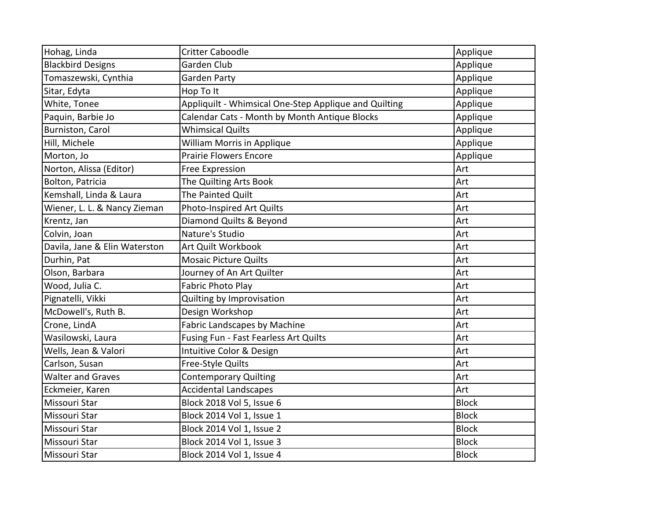| Hohag, Linda                  | <b>Critter Caboodle</b>                               | Applique     |
|-------------------------------|-------------------------------------------------------|--------------|
| <b>Blackbird Designs</b>      | <b>Garden Club</b>                                    | Applique     |
| Tomaszewski, Cynthia          | <b>Garden Party</b>                                   | Applique     |
| Sitar, Edyta                  | Hop To It                                             | Applique     |
| White, Tonee                  | Appliquilt - Whimsical One-Step Applique and Quilting | Applique     |
| Paquin, Barbie Jo             | Calendar Cats - Month by Month Antique Blocks         | Applique     |
| Burniston, Carol              | <b>Whimsical Quilts</b>                               | Applique     |
| Hill, Michele                 | <b>William Morris in Applique</b>                     | Applique     |
| Morton, Jo                    | <b>Prairie Flowers Encore</b>                         | Applique     |
| Norton, Alissa (Editor)       | <b>Free Expression</b>                                | Art          |
| Bolton, Patricia              | The Quilting Arts Book                                | Art          |
| Kemshall, Linda & Laura       | The Painted Quilt                                     | Art          |
| Wiener, L. L. & Nancy Zieman  | Photo-Inspired Art Quilts                             | Art          |
| Krentz, Jan                   | Diamond Quilts & Beyond                               | Art          |
| Colvin, Joan                  | Nature's Studio                                       | Art          |
| Davila, Jane & Elin Waterston | Art Quilt Workbook                                    | Art          |
| Durhin, Pat                   | <b>Mosaic Picture Quilts</b>                          | Art          |
| Olson, Barbara                | Journey of An Art Quilter                             | Art          |
| Wood, Julia C.                | Fabric Photo Play                                     | Art          |
| Pignatelli, Vikki             | Quilting by Improvisation                             | Art          |
| McDowell's, Ruth B.           | Design Workshop                                       | Art          |
| Crone, LindA                  | Fabric Landscapes by Machine                          | Art          |
| Wasilowski, Laura             | Fusing Fun - Fast Fearless Art Quilts                 | Art          |
| Wells, Jean & Valori          | Intuitive Color & Design                              | Art          |
| Carlson, Susan                | Free-Style Quilts                                     | Art          |
| <b>Walter and Graves</b>      | <b>Contemporary Quilting</b>                          | Art          |
| Eckmeier, Karen               | <b>Accidental Landscapes</b>                          | Art          |
| Missouri Star                 | Block 2018 Vol 5, Issue 6                             | <b>Block</b> |
| Missouri Star                 | Block 2014 Vol 1, Issue 1                             | <b>Block</b> |
| Missouri Star                 | Block 2014 Vol 1, Issue 2                             | <b>Block</b> |
| Missouri Star                 | Block 2014 Vol 1, Issue 3                             | <b>Block</b> |
| Missouri Star                 | Block 2014 Vol 1, Issue 4                             | <b>Block</b> |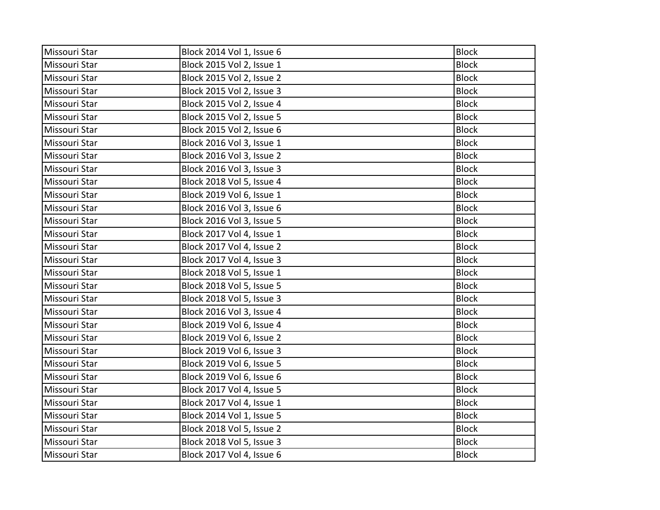| Missouri Star | Block 2014 Vol 1, Issue 6 | <b>Block</b> |
|---------------|---------------------------|--------------|
| Missouri Star | Block 2015 Vol 2, Issue 1 | <b>Block</b> |
| Missouri Star | Block 2015 Vol 2, Issue 2 | <b>Block</b> |
| Missouri Star | Block 2015 Vol 2, Issue 3 | <b>Block</b> |
| Missouri Star | Block 2015 Vol 2, Issue 4 | <b>Block</b> |
| Missouri Star | Block 2015 Vol 2, Issue 5 | <b>Block</b> |
| Missouri Star | Block 2015 Vol 2, Issue 6 | <b>Block</b> |
| Missouri Star | Block 2016 Vol 3, Issue 1 | <b>Block</b> |
| Missouri Star | Block 2016 Vol 3, Issue 2 | <b>Block</b> |
| Missouri Star | Block 2016 Vol 3, Issue 3 | <b>Block</b> |
| Missouri Star | Block 2018 Vol 5, Issue 4 | <b>Block</b> |
| Missouri Star | Block 2019 Vol 6, Issue 1 | <b>Block</b> |
| Missouri Star | Block 2016 Vol 3, Issue 6 | <b>Block</b> |
| Missouri Star | Block 2016 Vol 3, Issue 5 | <b>Block</b> |
| Missouri Star | Block 2017 Vol 4, Issue 1 | <b>Block</b> |
| Missouri Star | Block 2017 Vol 4, Issue 2 | <b>Block</b> |
| Missouri Star | Block 2017 Vol 4, Issue 3 | <b>Block</b> |
| Missouri Star | Block 2018 Vol 5, Issue 1 | <b>Block</b> |
| Missouri Star | Block 2018 Vol 5, Issue 5 | <b>Block</b> |
| Missouri Star | Block 2018 Vol 5, Issue 3 | <b>Block</b> |
| Missouri Star | Block 2016 Vol 3, Issue 4 | <b>Block</b> |
| Missouri Star | Block 2019 Vol 6, Issue 4 | <b>Block</b> |
| Missouri Star | Block 2019 Vol 6, Issue 2 | <b>Block</b> |
| Missouri Star | Block 2019 Vol 6, Issue 3 | <b>Block</b> |
| Missouri Star | Block 2019 Vol 6, Issue 5 | <b>Block</b> |
| Missouri Star | Block 2019 Vol 6, Issue 6 | <b>Block</b> |
| Missouri Star | Block 2017 Vol 4, Issue 5 | <b>Block</b> |
| Missouri Star | Block 2017 Vol 4, Issue 1 | <b>Block</b> |
| Missouri Star | Block 2014 Vol 1, Issue 5 | <b>Block</b> |
| Missouri Star | Block 2018 Vol 5, Issue 2 | <b>Block</b> |
| Missouri Star | Block 2018 Vol 5, Issue 3 | <b>Block</b> |
| Missouri Star | Block 2017 Vol 4, Issue 6 | <b>Block</b> |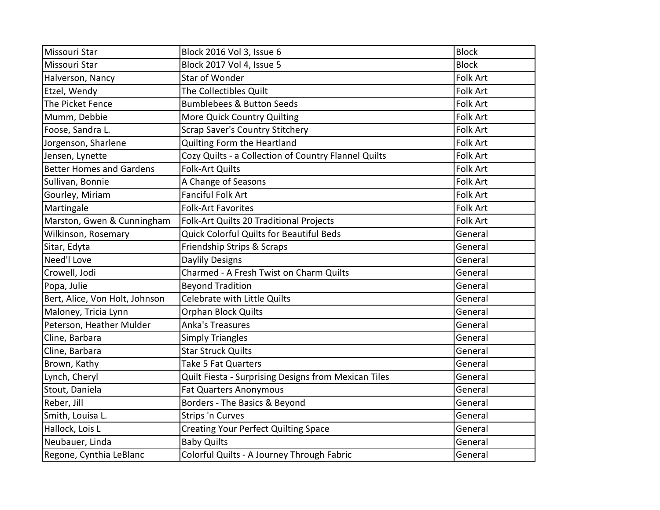| Missouri Star                   | Block 2016 Vol 3, Issue 6                            | <b>Block</b>    |
|---------------------------------|------------------------------------------------------|-----------------|
| Missouri Star                   | Block 2017 Vol 4, Issue 5                            | <b>Block</b>    |
| Halverson, Nancy                | Star of Wonder                                       | <b>Folk Art</b> |
| Etzel, Wendy                    | The Collectibles Quilt                               | <b>Folk Art</b> |
| The Picket Fence                | <b>Bumblebees &amp; Button Seeds</b>                 | Folk Art        |
| Mumm, Debbie                    | More Quick Country Quilting                          | <b>Folk Art</b> |
| Foose, Sandra L.                | Scrap Saver's Country Stitchery                      | <b>Folk Art</b> |
| Jorgenson, Sharlene             | Quilting Form the Heartland                          | Folk Art        |
| Jensen, Lynette                 | Cozy Quilts - a Collection of Country Flannel Quilts | Folk Art        |
| <b>Better Homes and Gardens</b> | <b>Folk-Art Quilts</b>                               | <b>Folk Art</b> |
| Sullivan, Bonnie                | A Change of Seasons                                  | Folk Art        |
| Gourley, Miriam                 | <b>Fanciful Folk Art</b>                             | <b>Folk Art</b> |
| Martingale                      | <b>Folk-Art Favorites</b>                            | Folk Art        |
| Marston, Gwen & Cunningham      | Folk-Art Quilts 20 Traditional Projects              | Folk Art        |
| Wilkinson, Rosemary             | <b>Quick Colorful Quilts for Beautiful Beds</b>      | General         |
| Sitar, Edyta                    | Friendship Strips & Scraps                           | General         |
| Need'l Love                     | Daylily Designs                                      | General         |
| Crowell, Jodi                   | Charmed - A Fresh Twist on Charm Quilts              | General         |
| Popa, Julie                     | <b>Beyond Tradition</b>                              | General         |
| Bert, Alice, Von Holt, Johnson  | Celebrate with Little Quilts                         | General         |
| Maloney, Tricia Lynn            | Orphan Block Quilts                                  | General         |
| Peterson, Heather Mulder        | <b>Anka's Treasures</b>                              | General         |
| Cline, Barbara                  | <b>Simply Triangles</b>                              | General         |
| Cline, Barbara                  | <b>Star Struck Quilts</b>                            | General         |
| Brown, Kathy                    | Take 5 Fat Quarters                                  | General         |
| Lynch, Cheryl                   | Quilt Fiesta - Surprising Designs from Mexican Tiles | General         |
| Stout, Daniela                  | <b>Fat Quarters Anonymous</b>                        | General         |
| Reber, Jill                     | Borders - The Basics & Beyond                        | General         |
| Smith, Louisa L.                | <b>Strips 'n Curves</b>                              | General         |
| Hallock, Lois L                 | <b>Creating Your Perfect Quilting Space</b>          | General         |
| Neubauer, Linda                 | <b>Baby Quilts</b>                                   | General         |
| Regone, Cynthia LeBlanc         | Colorful Quilts - A Journey Through Fabric           | General         |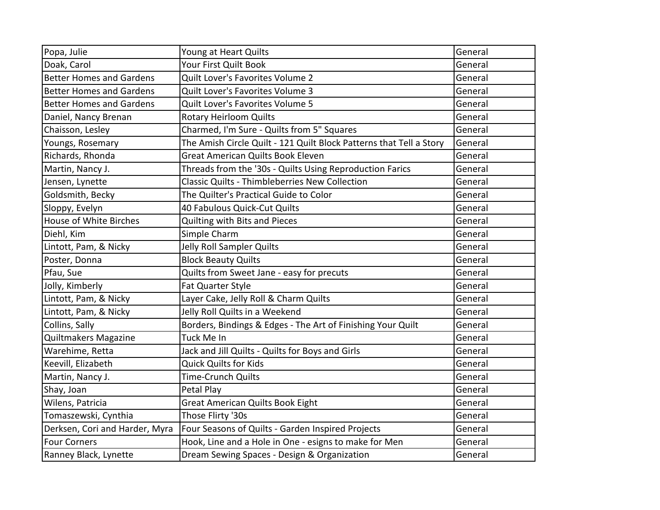| Popa, Julie                     | Young at Heart Quilts                                               | General |
|---------------------------------|---------------------------------------------------------------------|---------|
| Doak, Carol                     | Your First Quilt Book                                               | General |
| <b>Better Homes and Gardens</b> | Quilt Lover's Favorites Volume 2                                    | General |
| <b>Better Homes and Gardens</b> | Quilt Lover's Favorites Volume 3                                    | General |
| <b>Better Homes and Gardens</b> | Quilt Lover's Favorites Volume 5                                    | General |
| Daniel, Nancy Brenan            | <b>Rotary Heirloom Quilts</b>                                       | General |
| Chaisson, Lesley                | Charmed, I'm Sure - Quilts from 5" Squares                          | General |
| Youngs, Rosemary                | The Amish Circle Quilt - 121 Quilt Block Patterns that Tell a Story | General |
| Richards, Rhonda                | <b>Great American Quilts Book Eleven</b>                            | General |
| Martin, Nancy J.                | Threads from the '30s - Quilts Using Reproduction Farics            | General |
| Jensen, Lynette                 | <b>Classic Quilts - Thimbleberries New Collection</b>               | General |
| Goldsmith, Becky                | The Quilter's Practical Guide to Color                              | General |
| Sloppy, Evelyn                  | 40 Fabulous Quick-Cut Quilts                                        | General |
| House of White Birches          | Quilting with Bits and Pieces                                       | General |
| Diehl, Kim                      | Simple Charm                                                        | General |
| Lintott, Pam, & Nicky           | Jelly Roll Sampler Quilts                                           | General |
| Poster, Donna                   | <b>Block Beauty Quilts</b>                                          | General |
| Pfau, Sue                       | Quilts from Sweet Jane - easy for precuts                           | General |
| Jolly, Kimberly                 | Fat Quarter Style                                                   | General |
| Lintott, Pam, & Nicky           | Layer Cake, Jelly Roll & Charm Quilts                               | General |
| Lintott, Pam, & Nicky           | Jelly Roll Quilts in a Weekend                                      | General |
| Collins, Sally                  | Borders, Bindings & Edges - The Art of Finishing Your Quilt         | General |
| Quiltmakers Magazine            | Tuck Me In                                                          | General |
| Warehime, Retta                 | Jack and Jill Quilts - Quilts for Boys and Girls                    | General |
| Keevill, Elizabeth              | <b>Quick Quilts for Kids</b>                                        | General |
| Martin, Nancy J.                | <b>Time-Crunch Quilts</b>                                           | General |
| Shay, Joan                      | Petal Play                                                          | General |
| Wilens, Patricia                | <b>Great American Quilts Book Eight</b>                             | General |
| Tomaszewski, Cynthia            | Those Flirty '30s                                                   | General |
| Derksen, Cori and Harder, Myra  | Four Seasons of Quilts - Garden Inspired Projects                   | General |
| <b>Four Corners</b>             | Hook, Line and a Hole in One - esigns to make for Men               | General |
| Ranney Black, Lynette           | Dream Sewing Spaces - Design & Organization                         | General |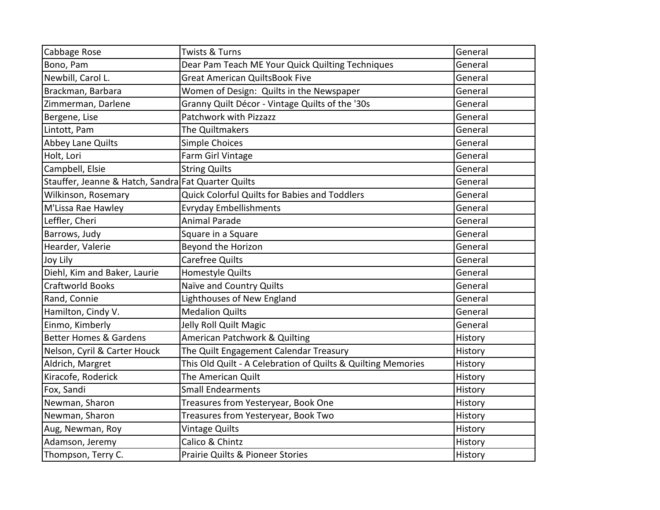| Cabbage Rose                                        | <b>Twists &amp; Turns</b>                                    | General |
|-----------------------------------------------------|--------------------------------------------------------------|---------|
| Bono, Pam                                           | Dear Pam Teach ME Your Quick Quilting Techniques             | General |
| Newbill, Carol L.                                   | <b>Great American QuiltsBook Five</b>                        | General |
| Brackman, Barbara                                   | Women of Design: Quilts in the Newspaper                     | General |
| Zimmerman, Darlene                                  | Granny Quilt Décor - Vintage Quilts of the '30s              | General |
| Bergene, Lise                                       | Patchwork with Pizzazz                                       | General |
| Lintott, Pam                                        | The Quiltmakers                                              | General |
| <b>Abbey Lane Quilts</b>                            | <b>Simple Choices</b>                                        | General |
| Holt, Lori                                          | Farm Girl Vintage                                            | General |
| Campbell, Elsie                                     | <b>String Quilts</b>                                         | General |
| Stauffer, Jeanne & Hatch, Sandra Fat Quarter Quilts |                                                              | General |
| Wilkinson, Rosemary                                 | <b>Quick Colorful Quilts for Babies and Toddlers</b>         | General |
| M'Lissa Rae Hawley                                  | <b>Evryday Embellishments</b>                                | General |
| Leffler, Cheri                                      | <b>Animal Parade</b>                                         | General |
| Barrows, Judy                                       | Square in a Square                                           | General |
| Hearder, Valerie                                    | Beyond the Horizon                                           | General |
| Joy Lily                                            | <b>Carefree Quilts</b>                                       | General |
| Diehl, Kim and Baker, Laurie                        | Homestyle Quilts                                             | General |
| <b>Craftworld Books</b>                             | Naïve and Country Quilts                                     | General |
| Rand, Connie                                        | Lighthouses of New England                                   | General |
| Hamilton, Cindy V.                                  | <b>Medalion Quilts</b>                                       | General |
| Einmo, Kimberly                                     | Jelly Roll Quilt Magic                                       | General |
| <b>Better Homes &amp; Gardens</b>                   | American Patchwork & Quilting                                | History |
| Nelson, Cyril & Carter Houck                        | The Quilt Engagement Calendar Treasury                       | History |
| Aldrich, Margret                                    | This Old Quilt - A Celebration of Quilts & Quilting Memories | History |
| Kiracofe, Roderick                                  | The American Quilt                                           | History |
| Fox, Sandi                                          | <b>Small Endearments</b>                                     | History |
| Newman, Sharon                                      | Treasures from Yesteryear, Book One                          | History |
| Newman, Sharon                                      | Treasures from Yesteryear, Book Two                          | History |
| Aug, Newman, Roy                                    | <b>Vintage Quilts</b>                                        | History |
| Adamson, Jeremy                                     | Calico & Chintz                                              | History |
| Thompson, Terry C.                                  | Prairie Quilts & Pioneer Stories                             | History |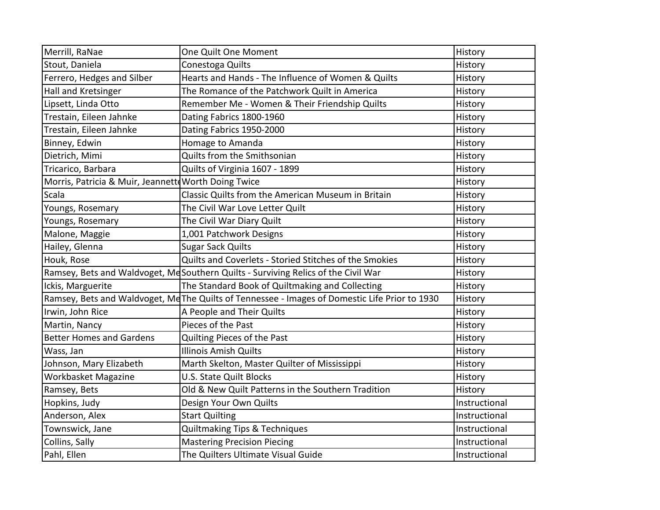| Merrill, RaNae                                      | One Quilt One Moment                                                                           | History       |
|-----------------------------------------------------|------------------------------------------------------------------------------------------------|---------------|
| Stout, Daniela                                      | Conestoga Quilts                                                                               | History       |
| Ferrero, Hedges and Silber                          | Hearts and Hands - The Influence of Women & Quilts                                             | History       |
| Hall and Kretsinger                                 | The Romance of the Patchwork Quilt in America                                                  | History       |
| Lipsett, Linda Otto                                 | Remember Me - Women & Their Friendship Quilts                                                  | History       |
| Trestain, Eileen Jahnke                             | Dating Fabrics 1800-1960                                                                       | History       |
| Trestain, Eileen Jahnke                             | Dating Fabrics 1950-2000                                                                       | History       |
| Binney, Edwin                                       | Homage to Amanda                                                                               | History       |
| Dietrich, Mimi                                      | Quilts from the Smithsonian                                                                    | History       |
| Tricarico, Barbara                                  | Quilts of Virginia 1607 - 1899                                                                 | History       |
| Morris, Patricia & Muir, Jeannett Worth Doing Twice |                                                                                                | History       |
| Scala                                               | Classic Quilts from the American Museum in Britain                                             | History       |
| Youngs, Rosemary                                    | The Civil War Love Letter Quilt                                                                | History       |
| Youngs, Rosemary                                    | The Civil War Diary Quilt                                                                      | History       |
| Malone, Maggie                                      | 1,001 Patchwork Designs                                                                        | History       |
| Hailey, Glenna                                      | <b>Sugar Sack Quilts</b>                                                                       | History       |
| Houk, Rose                                          | Quilts and Coverlets - Storied Stitches of the Smokies                                         | History       |
|                                                     | Ramsey, Bets and Waldvoget, McSouthern Quilts - Surviving Relics of the Civil War              | History       |
| Ickis, Marguerite                                   | The Standard Book of Quiltmaking and Collecting                                                | History       |
|                                                     | Ramsey, Bets and Waldvoget, Me The Quilts of Tennessee - Images of Domestic Life Prior to 1930 | History       |
| Irwin, John Rice                                    | A People and Their Quilts                                                                      | History       |
| Martin, Nancy                                       | Pieces of the Past                                                                             | History       |
| <b>Better Homes and Gardens</b>                     | Quilting Pieces of the Past                                                                    | History       |
| Wass, Jan                                           | <b>Illinois Amish Quilts</b>                                                                   | History       |
| Johnson, Mary Elizabeth                             | Marth Skelton, Master Quilter of Mississippi                                                   | History       |
| Workbasket Magazine                                 | <b>U.S. State Quilt Blocks</b>                                                                 | History       |
| Ramsey, Bets                                        | Old & New Quilt Patterns in the Southern Tradition                                             | History       |
| Hopkins, Judy                                       | Design Your Own Quilts                                                                         | Instructional |
| Anderson, Alex                                      | <b>Start Quilting</b>                                                                          | Instructional |
| Townswick, Jane                                     | Quiltmaking Tips & Techniques                                                                  | Instructional |
| Collins, Sally                                      | <b>Mastering Precision Piecing</b>                                                             | Instructional |
| Pahl, Ellen                                         | The Quilters Ultimate Visual Guide                                                             | Instructional |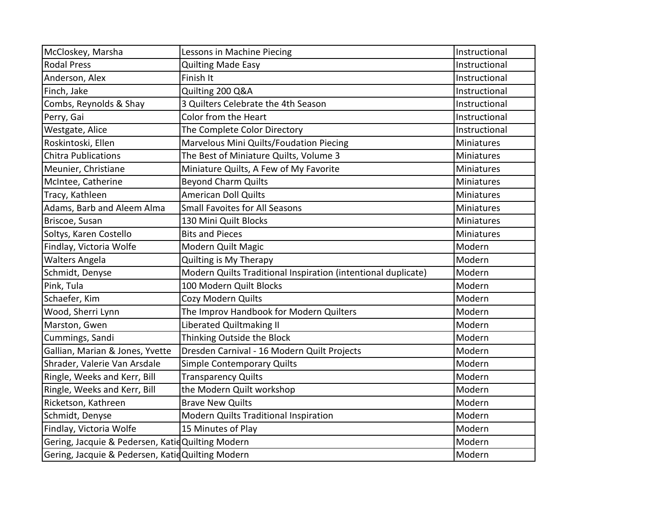| McCloskey, Marsha                                | Lessons in Machine Piecing                                    | Instructional     |
|--------------------------------------------------|---------------------------------------------------------------|-------------------|
| <b>Rodal Press</b>                               | <b>Quilting Made Easy</b>                                     | Instructional     |
| Anderson, Alex                                   | Finish It                                                     | Instructional     |
| Finch, Jake                                      | Quilting 200 Q&A                                              | Instructional     |
| Combs, Reynolds & Shay                           | 3 Quilters Celebrate the 4th Season                           | Instructional     |
| Perry, Gai                                       | Color from the Heart                                          | Instructional     |
| Westgate, Alice                                  | The Complete Color Directory                                  | Instructional     |
| Roskintoski, Ellen                               | Marvelous Mini Quilts/Foudation Piecing                       | <b>Miniatures</b> |
| <b>Chitra Publications</b>                       | The Best of Miniature Quilts, Volume 3                        | Miniatures        |
| Meunier, Christiane                              | Miniature Quilts, A Few of My Favorite                        | Miniatures        |
| McIntee, Catherine                               | <b>Beyond Charm Quilts</b>                                    | <b>Miniatures</b> |
| Tracy, Kathleen                                  | American Doll Quilts                                          | <b>Miniatures</b> |
| Adams, Barb and Aleem Alma                       | <b>Small Favoites for All Seasons</b>                         | Miniatures        |
| Briscoe, Susan                                   | 130 Mini Quilt Blocks                                         | Miniatures        |
| Soltys, Karen Costello                           | <b>Bits and Pieces</b>                                        | <b>Miniatures</b> |
| Findlay, Victoria Wolfe                          | Modern Quilt Magic                                            | Modern            |
|                                                  |                                                               |                   |
| <b>Walters Angela</b>                            | Quilting is My Therapy                                        | Modern            |
| Schmidt, Denyse                                  | Modern Quilts Traditional Inspiration (intentional duplicate) | Modern            |
| Pink, Tula                                       | 100 Modern Quilt Blocks                                       | Modern            |
| Schaefer, Kim                                    | Cozy Modern Quilts                                            | Modern            |
| Wood, Sherri Lynn                                | The Improv Handbook for Modern Quilters                       | Modern            |
| Marston, Gwen                                    | Liberated Quiltmaking II                                      | Modern            |
| Cummings, Sandi                                  | Thinking Outside the Block                                    | Modern            |
| Gallian, Marian & Jones, Yvette                  | Dresden Carnival - 16 Modern Quilt Projects                   | Modern            |
| Shrader, Valerie Van Arsdale                     | Simple Contemporary Quilts                                    | Modern            |
| Ringle, Weeks and Kerr, Bill                     | <b>Transparency Quilts</b>                                    | Modern            |
| Ringle, Weeks and Kerr, Bill                     | the Modern Quilt workshop                                     | Modern            |
| Ricketson, Kathreen                              | <b>Brave New Quilts</b>                                       | Modern            |
| Schmidt, Denyse                                  | Modern Quilts Traditional Inspiration                         | Modern            |
| Findlay, Victoria Wolfe                          | 15 Minutes of Play                                            | Modern            |
| Gering, Jacquie & Pedersen, KatidQuilting Modern |                                                               | Modern            |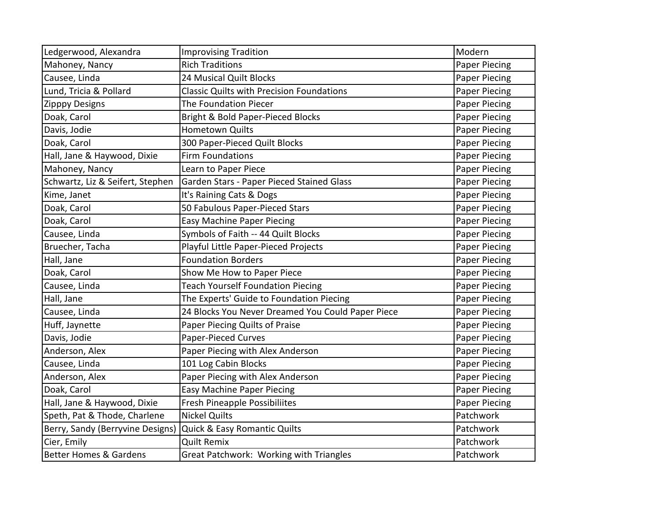| Ledgerwood, Alexandra             | <b>Improvising Tradition</b>                      | Modern               |
|-----------------------------------|---------------------------------------------------|----------------------|
| Mahoney, Nancy                    | <b>Rich Traditions</b>                            | <b>Paper Piecing</b> |
| Causee, Linda                     | 24 Musical Quilt Blocks                           | Paper Piecing        |
| Lund, Tricia & Pollard            | <b>Classic Quilts with Precision Foundations</b>  | Paper Piecing        |
| <b>Zipppy Designs</b>             | The Foundation Piecer                             | <b>Paper Piecing</b> |
| Doak, Carol                       | Bright & Bold Paper-Pieced Blocks                 | Paper Piecing        |
| Davis, Jodie                      | <b>Hometown Quilts</b>                            | <b>Paper Piecing</b> |
| Doak, Carol                       | 300 Paper-Pieced Quilt Blocks                     | <b>Paper Piecing</b> |
| Hall, Jane & Haywood, Dixie       | <b>Firm Foundations</b>                           | Paper Piecing        |
| Mahoney, Nancy                    | Learn to Paper Piece                              | Paper Piecing        |
| Schwartz, Liz & Seifert, Stephen  | Garden Stars - Paper Pieced Stained Glass         | <b>Paper Piecing</b> |
| Kime, Janet                       | It's Raining Cats & Dogs                          | Paper Piecing        |
| Doak, Carol                       | 50 Fabulous Paper-Pieced Stars                    | Paper Piecing        |
| Doak, Carol                       | <b>Easy Machine Paper Piecing</b>                 | Paper Piecing        |
| Causee, Linda                     | Symbols of Faith -- 44 Quilt Blocks               | Paper Piecing        |
| Bruecher, Tacha                   | Playful Little Paper-Pieced Projects              | Paper Piecing        |
| Hall, Jane                        | <b>Foundation Borders</b>                         | <b>Paper Piecing</b> |
| Doak, Carol                       | Show Me How to Paper Piece                        | Paper Piecing        |
| Causee, Linda                     | <b>Teach Yourself Foundation Piecing</b>          | <b>Paper Piecing</b> |
| Hall, Jane                        | The Experts' Guide to Foundation Piecing          | Paper Piecing        |
| Causee, Linda                     | 24 Blocks You Never Dreamed You Could Paper Piece | Paper Piecing        |
| Huff, Jaynette                    | Paper Piecing Quilts of Praise                    | Paper Piecing        |
| Davis, Jodie                      | Paper-Pieced Curves                               | Paper Piecing        |
| Anderson, Alex                    | Paper Piecing with Alex Anderson                  | <b>Paper Piecing</b> |
| Causee, Linda                     | 101 Log Cabin Blocks                              | Paper Piecing        |
| Anderson, Alex                    | Paper Piecing with Alex Anderson                  | <b>Paper Piecing</b> |
| Doak, Carol                       | <b>Easy Machine Paper Piecing</b>                 | Paper Piecing        |
| Hall, Jane & Haywood, Dixie       | <b>Fresh Pineapple Possibiliites</b>              | Paper Piecing        |
| Speth, Pat & Thode, Charlene      | <b>Nickel Quilts</b>                              | Patchwork            |
| Berry, Sandy (Berryvine Designs)  | Quick & Easy Romantic Quilts                      | Patchwork            |
| Cier, Emily                       | <b>Quilt Remix</b>                                | Patchwork            |
| <b>Better Homes &amp; Gardens</b> | Great Patchwork: Working with Triangles           | Patchwork            |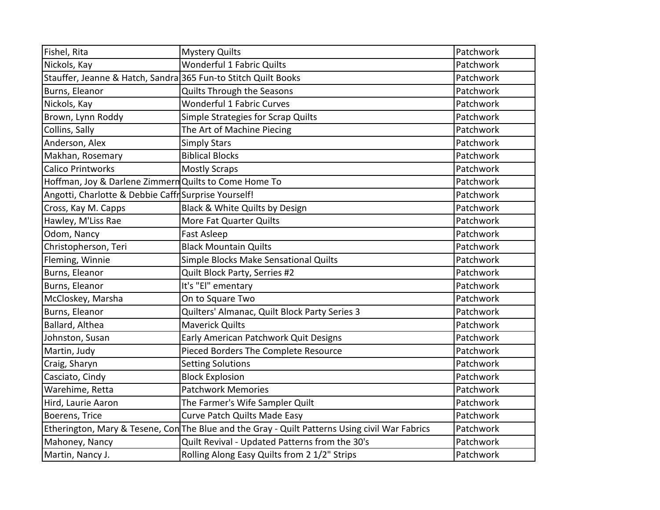| Fishel, Rita                                                   | <b>Mystery Quilts</b>                                                                          | Patchwork |
|----------------------------------------------------------------|------------------------------------------------------------------------------------------------|-----------|
| Nickols, Kay                                                   | <b>Wonderful 1 Fabric Quilts</b>                                                               | Patchwork |
| Stauffer, Jeanne & Hatch, Sandra 365 Fun-to Stitch Quilt Books |                                                                                                | Patchwork |
| Burns, Eleanor                                                 | Quilts Through the Seasons                                                                     | Patchwork |
| Nickols, Kay                                                   | <b>Wonderful 1 Fabric Curves</b>                                                               | Patchwork |
| Brown, Lynn Roddy                                              | Simple Strategies for Scrap Quilts                                                             | Patchwork |
| Collins, Sally                                                 | The Art of Machine Piecing                                                                     | Patchwork |
| Anderson, Alex                                                 | <b>Simply Stars</b>                                                                            | Patchwork |
| Makhan, Rosemary                                               | <b>Biblical Blocks</b>                                                                         | Patchwork |
| <b>Calico Printworks</b>                                       | <b>Mostly Scraps</b>                                                                           | Patchwork |
| Hoffman, Joy & Darlene Zimmern Quilts to Come Home To          |                                                                                                | Patchwork |
| Angotti, Charlotte & Debbie Caffr Surprise Yourself!           |                                                                                                | Patchwork |
| Cross, Kay M. Capps                                            | Black & White Quilts by Design                                                                 | Patchwork |
| Hawley, M'Liss Rae                                             | More Fat Quarter Quilts                                                                        | Patchwork |
| Odom, Nancy                                                    | <b>Fast Asleep</b>                                                                             | Patchwork |
| Christopherson, Teri                                           | <b>Black Mountain Quilts</b>                                                                   | Patchwork |
| Fleming, Winnie                                                | Simple Blocks Make Sensational Quilts                                                          | Patchwork |
| Burns, Eleanor                                                 | Quilt Block Party, Serries #2                                                                  | Patchwork |
| Burns, Eleanor                                                 | It's "El" ementary                                                                             | Patchwork |
| McCloskey, Marsha                                              | On to Square Two                                                                               | Patchwork |
| Burns, Eleanor                                                 | Quilters' Almanac, Quilt Block Party Series 3                                                  | Patchwork |
| Ballard, Althea                                                | <b>Maverick Quilts</b>                                                                         | Patchwork |
| Johnston, Susan                                                | Early American Patchwork Quit Designs                                                          | Patchwork |
| Martin, Judy                                                   | Pieced Borders The Complete Resource                                                           | Patchwork |
| Craig, Sharyn                                                  | <b>Setting Solutions</b>                                                                       | Patchwork |
| Casciato, Cindy                                                | <b>Block Explosion</b>                                                                         | Patchwork |
| Warehime, Retta                                                | <b>Patchwork Memories</b>                                                                      | Patchwork |
| Hird, Laurie Aaron                                             | The Farmer's Wife Sampler Quilt                                                                | Patchwork |
| Boerens, Trice                                                 | Curve Patch Quilts Made Easy                                                                   | Patchwork |
|                                                                | Etherington, Mary & Tesene, Con The Blue and the Gray - Quilt Patterns Using civil War Fabrics | Patchwork |
| Mahoney, Nancy                                                 | Quilt Revival - Updated Patterns from the 30's                                                 | Patchwork |
| Martin, Nancy J.                                               | Rolling Along Easy Quilts from 2 1/2" Strips                                                   | Patchwork |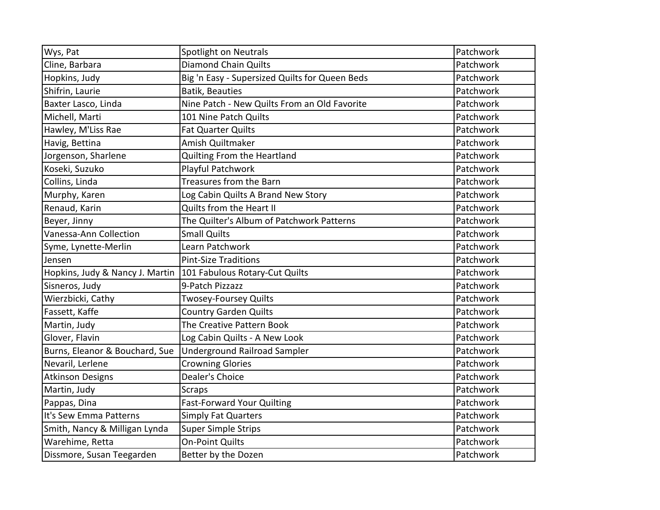| Wys, Pat                        | Spotlight on Neutrals                          | Patchwork |
|---------------------------------|------------------------------------------------|-----------|
| Cline, Barbara                  | <b>Diamond Chain Quilts</b>                    | Patchwork |
| Hopkins, Judy                   | Big 'n Easy - Supersized Quilts for Queen Beds | Patchwork |
| Shifrin, Laurie                 | <b>Batik, Beauties</b>                         | Patchwork |
| Baxter Lasco, Linda             | Nine Patch - New Quilts From an Old Favorite   | Patchwork |
| Michell, Marti                  | 101 Nine Patch Quilts                          | Patchwork |
| Hawley, M'Liss Rae              | <b>Fat Quarter Quilts</b>                      | Patchwork |
| Havig, Bettina                  | Amish Quiltmaker                               | Patchwork |
| Jorgenson, Sharlene             | Quilting From the Heartland                    | Patchwork |
| Koseki, Suzuko                  | Playful Patchwork                              | Patchwork |
| Collins, Linda                  | Treasures from the Barn                        | Patchwork |
| Murphy, Karen                   | Log Cabin Quilts A Brand New Story             | Patchwork |
| Renaud, Karin                   | Quilts from the Heart II                       | Patchwork |
| Beyer, Jinny                    | The Quilter's Album of Patchwork Patterns      | Patchwork |
| Vanessa-Ann Collection          | <b>Small Quilts</b>                            | Patchwork |
| Syme, Lynette-Merlin            | Learn Patchwork                                | Patchwork |
| Jensen                          | <b>Pint-Size Traditions</b>                    | Patchwork |
| Hopkins, Judy & Nancy J. Martin | 101 Fabulous Rotary-Cut Quilts                 | Patchwork |
| Sisneros, Judy                  | 9-Patch Pizzazz                                | Patchwork |
| Wierzbicki, Cathy               | <b>Twosey-Foursey Quilts</b>                   | Patchwork |
| Fassett, Kaffe                  | <b>Country Garden Quilts</b>                   | Patchwork |
| Martin, Judy                    | The Creative Pattern Book                      | Patchwork |
| Glover, Flavin                  | Log Cabin Quilts - A New Look                  | Patchwork |
| Burns, Eleanor & Bouchard, Sue  | <b>Underground Railroad Sampler</b>            | Patchwork |
| Nevaril, Lerlene                | <b>Crowning Glories</b>                        | Patchwork |
| <b>Atkinson Designs</b>         | Dealer's Choice                                | Patchwork |
| Martin, Judy                    | Scraps                                         | Patchwork |
| Pappas, Dina                    | <b>Fast-Forward Your Quilting</b>              | Patchwork |
| It's Sew Emma Patterns          | <b>Simply Fat Quarters</b>                     | Patchwork |
| Smith, Nancy & Milligan Lynda   | <b>Super Simple Strips</b>                     | Patchwork |
| Warehime, Retta                 | <b>On-Point Quilts</b>                         | Patchwork |
| Dissmore, Susan Teegarden       | Better by the Dozen                            | Patchwork |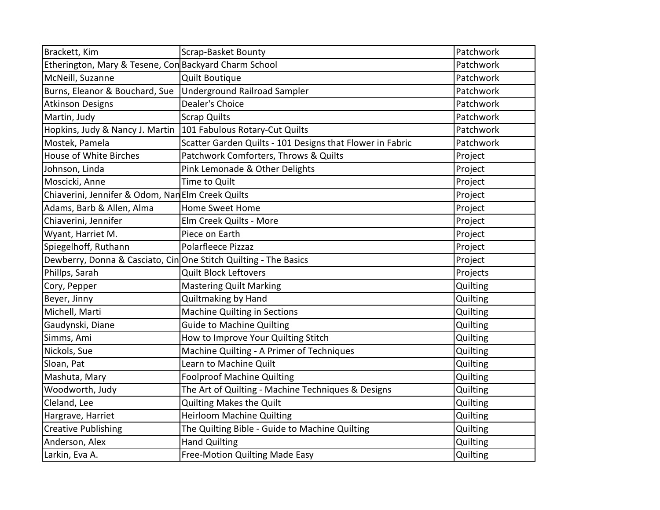| Brackett, Kim                                                   | Scrap-Basket Bounty                                       | Patchwork |
|-----------------------------------------------------------------|-----------------------------------------------------------|-----------|
| Etherington, Mary & Tesene, Con Backyard Charm School           |                                                           | Patchwork |
| McNeill, Suzanne                                                | <b>Quilt Boutique</b>                                     | Patchwork |
| Burns, Eleanor & Bouchard, Sue                                  | <b>Underground Railroad Sampler</b>                       | Patchwork |
| <b>Atkinson Designs</b>                                         | Dealer's Choice                                           | Patchwork |
| Martin, Judy                                                    | <b>Scrap Quilts</b>                                       | Patchwork |
| Hopkins, Judy & Nancy J. Martin                                 | 101 Fabulous Rotary-Cut Quilts                            | Patchwork |
| Mostek, Pamela                                                  | Scatter Garden Quilts - 101 Designs that Flower in Fabric | Patchwork |
| <b>House of White Birches</b>                                   | Patchwork Comforters, Throws & Quilts                     | Project   |
| Johnson, Linda                                                  | Pink Lemonade & Other Delights                            | Project   |
| Moscicki, Anne                                                  | Time to Quilt                                             | Project   |
| Chiaverini, Jennifer & Odom, Nan Elm Creek Quilts               |                                                           | Project   |
| Adams, Barb & Allen, Alma                                       | <b>Home Sweet Home</b>                                    | Project   |
| Chiaverini, Jennifer                                            | Elm Creek Quilts - More                                   | Project   |
| Wyant, Harriet M.                                               | Piece on Earth                                            | Project   |
| Spiegelhoff, Ruthann                                            | Polarfleece Pizzaz                                        | Project   |
| Dewberry, Donna & Casciato, CinOne Stitch Quilting - The Basics |                                                           | Project   |
| Phillps, Sarah                                                  | <b>Quilt Block Leftovers</b>                              | Projects  |
| Cory, Pepper                                                    | <b>Mastering Quilt Marking</b>                            | Quilting  |
| Beyer, Jinny                                                    | Quiltmaking by Hand                                       | Quilting  |
| Michell, Marti                                                  | <b>Machine Quilting in Sections</b>                       | Quilting  |
| Gaudynski, Diane                                                | <b>Guide to Machine Quilting</b>                          | Quilting  |
| Simms, Ami                                                      | How to Improve Your Quilting Stitch                       | Quilting  |
| Nickols, Sue                                                    | Machine Quilting - A Primer of Techniques                 | Quilting  |
| Sloan, Pat                                                      | Learn to Machine Quilt                                    | Quilting  |
| Mashuta, Mary                                                   | <b>Foolproof Machine Quilting</b>                         | Quilting  |
| Woodworth, Judy                                                 | The Art of Quilting - Machine Techniques & Designs        | Quilting  |
| Cleland, Lee                                                    | Quilting Makes the Quilt                                  | Quilting  |
| Hargrave, Harriet                                               | <b>Heirloom Machine Quilting</b>                          | Quilting  |
| <b>Creative Publishing</b>                                      | The Quilting Bible - Guide to Machine Quilting            | Quilting  |
| Anderson, Alex                                                  | <b>Hand Quilting</b>                                      | Quilting  |
| Larkin, Eva A.                                                  | Free-Motion Quilting Made Easy                            | Quilting  |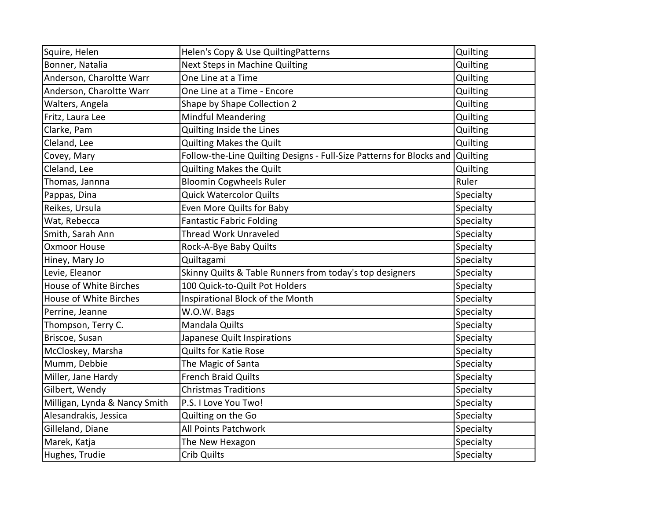| Squire, Helen                 | Helen's Copy & Use QuiltingPatterns                                  | Quilting  |
|-------------------------------|----------------------------------------------------------------------|-----------|
| Bonner, Natalia               | Next Steps in Machine Quilting                                       | Quilting  |
| Anderson, Charoltte Warr      | One Line at a Time                                                   | Quilting  |
| Anderson, Charoltte Warr      | One Line at a Time - Encore                                          | Quilting  |
| Walters, Angela               | Shape by Shape Collection 2                                          | Quilting  |
| Fritz, Laura Lee              | <b>Mindful Meandering</b>                                            | Quilting  |
| Clarke, Pam                   | Quilting Inside the Lines                                            | Quilting  |
| Cleland, Lee                  | Quilting Makes the Quilt                                             | Quilting  |
| Covey, Mary                   | Follow-the-Line Quilting Designs - Full-Size Patterns for Blocks and | Quilting  |
| Cleland, Lee                  | <b>Quilting Makes the Quilt</b>                                      | Quilting  |
| Thomas, Jannna                | <b>Bloomin Cogwheels Ruler</b>                                       | Ruler     |
| Pappas, Dina                  | <b>Quick Watercolor Quilts</b>                                       | Specialty |
| Reikes, Ursula                | Even More Quilts for Baby                                            | Specialty |
| Wat, Rebecca                  | <b>Fantastic Fabric Folding</b>                                      | Specialty |
| Smith, Sarah Ann              | Thread Work Unraveled                                                | Specialty |
| <b>Oxmoor House</b>           | Rock-A-Bye Baby Quilts                                               | Specialty |
| Hiney, Mary Jo                | Quiltagami                                                           | Specialty |
| Levie, Eleanor                | Skinny Quilts & Table Runners from today's top designers             | Specialty |
| House of White Birches        | 100 Quick-to-Quilt Pot Holders                                       | Specialty |
| House of White Birches        | Inspirational Block of the Month                                     | Specialty |
| Perrine, Jeanne               | W.O.W. Bags                                                          | Specialty |
| Thompson, Terry C.            | Mandala Quilts                                                       | Specialty |
| Briscoe, Susan                | Japanese Quilt Inspirations                                          | Specialty |
| McCloskey, Marsha             | Quilts for Katie Rose                                                | Specialty |
| Mumm, Debbie                  | The Magic of Santa                                                   | Specialty |
| Miller, Jane Hardy            | <b>French Braid Quilts</b>                                           | Specialty |
| Gilbert, Wendy                | <b>Christmas Traditions</b>                                          | Specialty |
| Milligan, Lynda & Nancy Smith | P.S. I Love You Two!                                                 | Specialty |
| Alesandrakis, Jessica         | Quilting on the Go                                                   | Specialty |
| Gilleland, Diane              | All Points Patchwork                                                 | Specialty |
| Marek, Katja                  | The New Hexagon                                                      | Specialty |
|                               |                                                                      |           |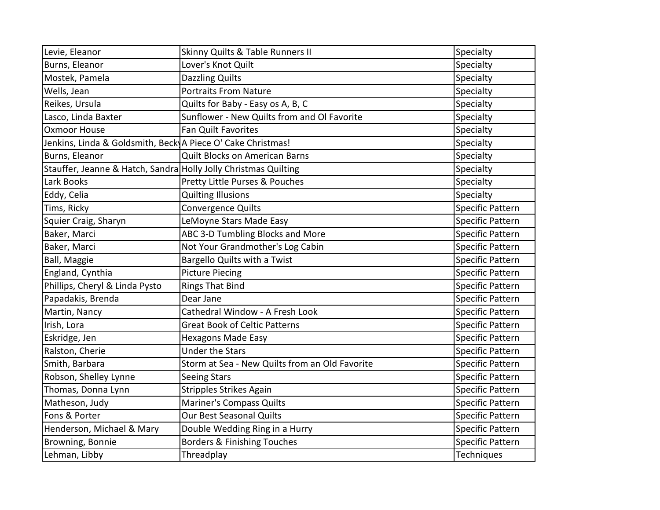| Levie, Eleanor                                                  | Skinny Quilts & Table Runners II               | Specialty               |
|-----------------------------------------------------------------|------------------------------------------------|-------------------------|
| Burns, Eleanor                                                  | Lover's Knot Quilt                             | Specialty               |
| Mostek, Pamela                                                  | <b>Dazzling Quilts</b>                         | Specialty               |
| Wells, Jean                                                     | <b>Portraits From Nature</b>                   | Specialty               |
| Reikes, Ursula                                                  | Quilts for Baby - Easy os A, B, C              | Specialty               |
| Lasco, Linda Baxter                                             | Sunflower - New Quilts from and Ol Favorite    | Specialty               |
| <b>Oxmoor House</b>                                             | <b>Fan Quilt Favorites</b>                     | Specialty               |
| Jenkins, Linda & Goldsmith, Beck A Piece O' Cake Christmas!     |                                                | Specialty               |
| Burns, Eleanor                                                  | Quilt Blocks on American Barns                 | Specialty               |
| Stauffer, Jeanne & Hatch, Sandra Holly Jolly Christmas Quilting |                                                | Specialty               |
| Lark Books                                                      | Pretty Little Purses & Pouches                 | Specialty               |
| Eddy, Celia                                                     | <b>Quilting Illusions</b>                      | Specialty               |
| Tims, Ricky                                                     | Convergence Quilts                             | <b>Specific Pattern</b> |
| Squier Craig, Sharyn                                            | LeMoyne Stars Made Easy                        | <b>Specific Pattern</b> |
| Baker, Marci                                                    | ABC 3-D Tumbling Blocks and More               | <b>Specific Pattern</b> |
| Baker, Marci                                                    | Not Your Grandmother's Log Cabin               | <b>Specific Pattern</b> |
| Ball, Maggie                                                    | Bargello Quilts with a Twist                   | <b>Specific Pattern</b> |
| England, Cynthia                                                | <b>Picture Piecing</b>                         | <b>Specific Pattern</b> |
| Phillips, Cheryl & Linda Pysto                                  | <b>Rings That Bind</b>                         | <b>Specific Pattern</b> |
| Papadakis, Brenda                                               | Dear Jane                                      | <b>Specific Pattern</b> |
| Martin, Nancy                                                   | Cathedral Window - A Fresh Look                | <b>Specific Pattern</b> |
| Irish, Lora                                                     | <b>Great Book of Celtic Patterns</b>           | <b>Specific Pattern</b> |
| Eskridge, Jen                                                   | <b>Hexagons Made Easy</b>                      | <b>Specific Pattern</b> |
| Ralston, Cherie                                                 | <b>Under the Stars</b>                         | <b>Specific Pattern</b> |
| Smith, Barbara                                                  | Storm at Sea - New Quilts from an Old Favorite | <b>Specific Pattern</b> |
| Robson, Shelley Lynne                                           | <b>Seeing Stars</b>                            | <b>Specific Pattern</b> |
| Thomas, Donna Lynn                                              | Stripples Strikes Again                        | <b>Specific Pattern</b> |
| Matheson, Judy                                                  | <b>Mariner's Compass Quilts</b>                | <b>Specific Pattern</b> |
| Fons & Porter                                                   | Our Best Seasonal Quilts                       | <b>Specific Pattern</b> |
| Henderson, Michael & Mary                                       | Double Wedding Ring in a Hurry                 | Specific Pattern        |
| Browning, Bonnie                                                | Borders & Finishing Touches                    | <b>Specific Pattern</b> |
| Lehman, Libby                                                   | Threadplay                                     | Techniques              |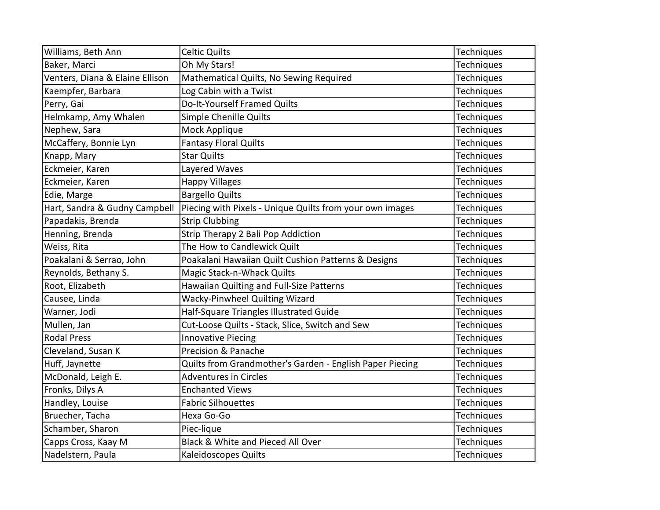| Williams, Beth Ann              | <b>Celtic Quilts</b>                                     | Techniques        |
|---------------------------------|----------------------------------------------------------|-------------------|
| Baker, Marci                    | Oh My Stars!                                             | Techniques        |
| Venters, Diana & Elaine Ellison | Mathematical Quilts, No Sewing Required                  | Techniques        |
| Kaempfer, Barbara               | Log Cabin with a Twist                                   | <b>Techniques</b> |
| Perry, Gai                      | Do-It-Yourself Framed Quilts                             | Techniques        |
| Helmkamp, Amy Whalen            | Simple Chenille Quilts                                   | Techniques        |
| Nephew, Sara                    | Mock Applique                                            | <b>Techniques</b> |
| McCaffery, Bonnie Lyn           | <b>Fantasy Floral Quilts</b>                             | Techniques        |
| Knapp, Mary                     | <b>Star Quilts</b>                                       | Techniques        |
| Eckmeier, Karen                 | Layered Waves                                            | <b>Techniques</b> |
| Eckmeier, Karen                 | <b>Happy Villages</b>                                    | Techniques        |
| Edie, Marge                     | <b>Bargello Quilts</b>                                   | Techniques        |
| Hart, Sandra & Gudny Campbell   | Piecing with Pixels - Unique Quilts from your own images | Techniques        |
| Papadakis, Brenda               | <b>Strip Clubbing</b>                                    | Techniques        |
| Henning, Brenda                 | Strip Therapy 2 Bali Pop Addiction                       | Techniques        |
| Weiss, Rita                     | The How to Candlewick Quilt                              | Techniques        |
| Poakalani & Serrao, John        | Poakalani Hawaiian Quilt Cushion Patterns & Designs      | Techniques        |
| Reynolds, Bethany S.            | Magic Stack-n-Whack Quilts                               | <b>Techniques</b> |
| Root, Elizabeth                 | Hawaiian Quilting and Full-Size Patterns                 | Techniques        |
| Causee, Linda                   | <b>Wacky-Pinwheel Quilting Wizard</b>                    | Techniques        |
| Warner, Jodi                    | Half-Square Triangles Illustrated Guide                  | Techniques        |
| Mullen, Jan                     | Cut-Loose Quilts - Stack, Slice, Switch and Sew          | Techniques        |
| <b>Rodal Press</b>              | <b>Innovative Piecing</b>                                | Techniques        |
| Cleveland, Susan K              | Precision & Panache                                      | Techniques        |
| Huff, Jaynette                  | Quilts from Grandmother's Garden - English Paper Piecing | Techniques        |
| McDonald, Leigh E.              | <b>Adventures in Circles</b>                             | Techniques        |
| Fronks, Dilys A                 | <b>Enchanted Views</b>                                   | Techniques        |
| Handley, Louise                 | <b>Fabric Silhouettes</b>                                | <b>Techniques</b> |
| Bruecher, Tacha                 | Hexa Go-Go                                               | Techniques        |
| Schamber, Sharon                | Piec-lique                                               | Techniques        |
| Capps Cross, Kaay M             | Black & White and Pieced All Over                        | Techniques        |
| Nadelstern, Paula               | Kaleidoscopes Quilts                                     | Techniques        |